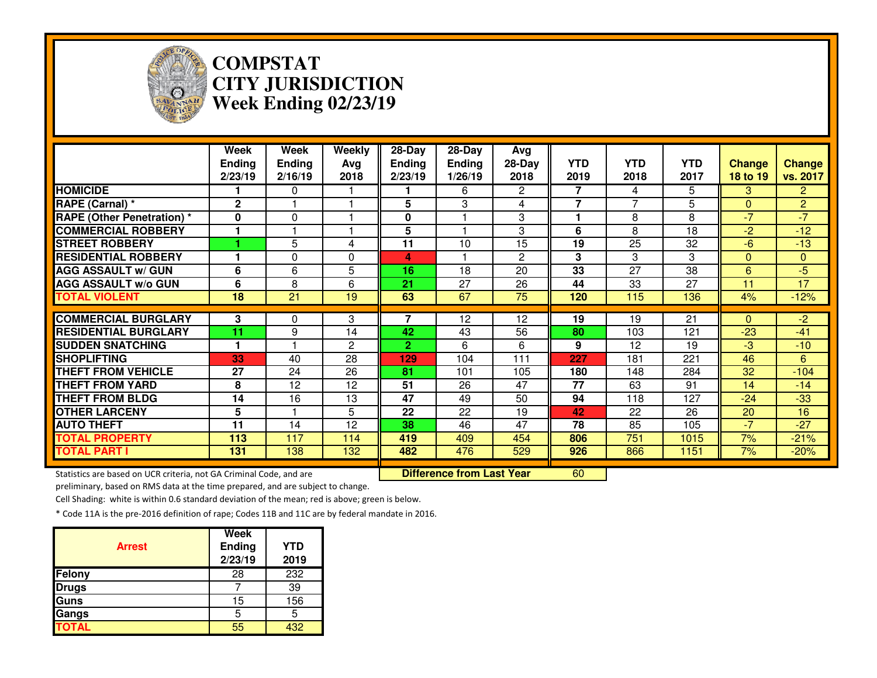

### **COMPSTAT CITY JURISDICTIONWeek Ending 02/23/19**

|                                                                     | Week<br><b>Ending</b><br>2/23/19 | Week<br><b>Ending</b><br>2/16/19 | Weekly<br>Avg<br>2018 | 28-Day<br><b>Ending</b><br>2/23/19 | 28-Day<br><b>Ending</b><br>1/26/19 | Avg<br>28-Day<br>2018 | <b>YTD</b><br>2019 | <b>YTD</b><br>2018 | <b>YTD</b><br>2017 | <b>Change</b><br>18 to 19 | <b>Change</b><br>vs. 2017 |
|---------------------------------------------------------------------|----------------------------------|----------------------------------|-----------------------|------------------------------------|------------------------------------|-----------------------|--------------------|--------------------|--------------------|---------------------------|---------------------------|
| <b>HOMICIDE</b>                                                     |                                  | $\Omega$                         |                       |                                    | 6                                  | $\overline{2}$        | 7                  | 4                  | 5                  | 3                         | $\overline{2}$            |
| RAPE (Carnal) *                                                     | $\mathbf{2}$                     |                                  |                       | 5                                  | 3                                  | 4                     | $\overline{7}$     | $\overline{7}$     | 5                  | $\mathbf{0}$              | $\overline{2}$            |
| <b>RAPE (Other Penetration) *</b>                                   | 0                                | 0                                |                       | 0                                  |                                    | 3                     | 1                  | 8                  | 8                  | $-7$                      | $-7$                      |
| <b>COMMERCIAL ROBBERY</b>                                           |                                  |                                  |                       | 5                                  |                                    | 3                     | 6                  | 8                  | 18                 | $-2$                      | $-12$                     |
| <b>STREET ROBBERY</b>                                               |                                  | 5                                | 4                     | 11                                 | 10                                 | 15                    | 19                 | 25                 | 32                 | $-6$                      | $-13$                     |
| <b>RESIDENTIAL ROBBERY</b>                                          |                                  | 0                                | $\Omega$              | 4                                  |                                    | 2                     | 3                  | 3                  | 3                  | $\mathbf{0}$              | $\overline{0}$            |
| <b>AGG ASSAULT w/ GUN</b>                                           | 6                                | 6                                | 5                     | 16                                 | 18                                 | 20                    | 33                 | 27                 | 38                 | 6                         | $-5$                      |
| <b>AGG ASSAULT w/o GUN</b>                                          | 6                                | 8                                | 6                     | 21                                 | 27                                 | 26                    | 44                 | 33                 | 27                 | 11                        | 17                        |
| <b>TOTAL VIOLENT</b>                                                | $\overline{18}$                  | $\overline{21}$                  | 19                    | 63                                 | 67                                 | $\overline{75}$       | 120                | 115                | 136                | 4%                        | $-12%$                    |
| <b>COMMERCIAL BURGLARY</b>                                          | 3                                | $\Omega$                         | 3                     | 7                                  | 12                                 | 12                    | 19                 | 19                 | 21                 | $\Omega$                  | $-2$                      |
| <b>RESIDENTIAL BURGLARY</b>                                         | 11                               | 9                                | 14                    | 42                                 | 43                                 | 56                    | 80                 | 103                | 121                | $-23$                     | $-41$                     |
| <b>SUDDEN SNATCHING</b>                                             |                                  |                                  | 2                     | $\mathbf{2}$                       | 6                                  | 6                     | 9                  | 12                 | 19                 | -3                        | $-10$                     |
| <b>SHOPLIFTING</b>                                                  | 33                               | 40                               | 28                    | 129                                | 104                                | 111                   | 227                | 181                | 221                | 46                        | 6                         |
| <b>THEFT FROM VEHICLE</b>                                           | 27                               | 24                               | 26                    | 81                                 | 101                                | 105                   | 180                | 148                | 284                | 32                        | $-104$                    |
| <b>THEFT FROM YARD</b>                                              | 8                                | 12                               | 12                    | 51                                 | 26                                 | 47                    | 77                 | 63                 | 91                 | 14                        | $-14$                     |
| <b>THEFT FROM BLDG</b>                                              | 14                               | 16                               | 13                    | 47                                 | 49                                 | 50                    | 94                 | 118                | 127                | $-24$                     | $-33$                     |
| <b>OTHER LARCENY</b>                                                | 5                                |                                  | 5                     | 22                                 | 22                                 | 19                    | 42                 | 22                 | 26                 | 20                        | 16                        |
| <b>AUTO THEFT</b>                                                   | 11                               | 14                               | 12                    | 38                                 | 46                                 | 47                    | 78                 | 85                 | 105                | $-7$                      | $-27$                     |
| <b>TOTAL PROPERTY</b>                                               | 113                              | 117                              | 114                   | 419                                | 409                                | 454                   | 806                | 751                | 1015               | 7%                        | $-21%$                    |
| <b>TOTAL PART I</b>                                                 | 131                              | 138                              | 132                   | 482                                | 476                                | 529                   | 926                | 866                | 1151               | 7%                        | $-20%$                    |
| Statistics are based on UCR criteria, not GA Criminal Code, and are |                                  |                                  |                       |                                    | <b>Difference from Last Year</b>   |                       | 60                 |                    |                    |                           |                           |

Statistics are based on UCR criteria, not GA Criminal Code, and are **Difference from Last Year** 

preliminary, based on RMS data at the time prepared, and are subject to change.

Cell Shading: white is within 0.6 standard deviation of the mean; red is above; green is below.

| <b>Arrest</b> | Week<br><b>Ending</b><br>2/23/19 | <b>YTD</b><br>2019 |
|---------------|----------------------------------|--------------------|
| Felony        | 28                               | 232                |
| <b>Drugs</b>  |                                  | 39                 |
| Guns          | 15                               | 156                |
| Gangs         | 5                                | 5                  |
| <b>TOTAL</b>  | 55                               | 432                |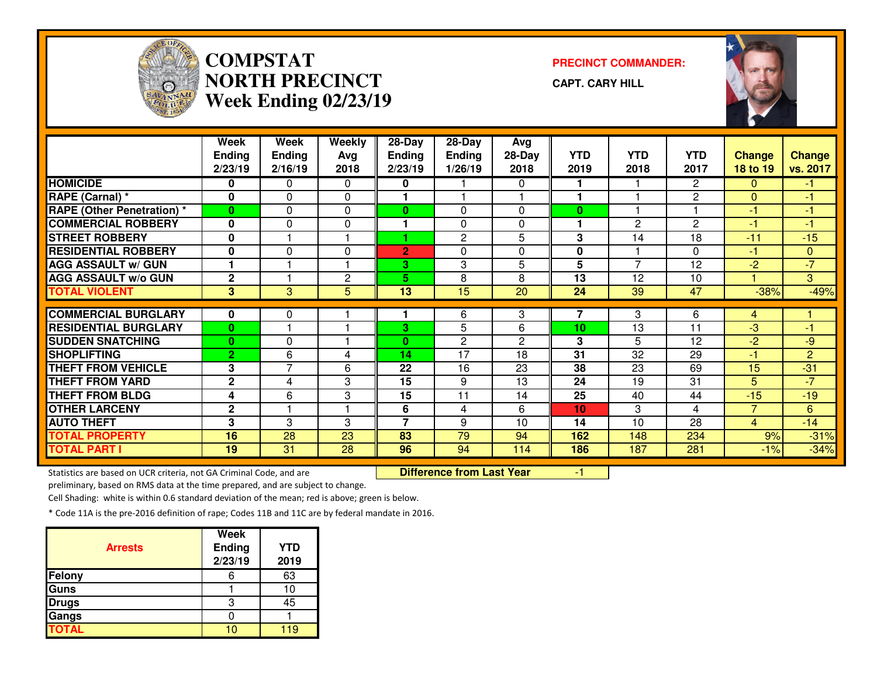

# **COMPSTATNORTH PRECINCTWeek Ending 02/23/19**

**PRECINCT COMMANDER:**

**CAPT. CARY HILL**



|                                   | <b>Week</b><br><b>Ending</b> | <b>Week</b><br>Ending | Weekly<br>Avg | 28-Day<br>Ending         | 28-Day<br><b>Ending</b> | Avg<br>28-Day  | <b>YTD</b>  | <b>YTD</b>     | <b>YTD</b>      | <b>Change</b>  | <b>Change</b>   |
|-----------------------------------|------------------------------|-----------------------|---------------|--------------------------|-------------------------|----------------|-------------|----------------|-----------------|----------------|-----------------|
|                                   | 2/23/19                      | 2/16/19               | 2018          | 2/23/19                  | 1/26/19                 | 2018           | 2019        | 2018           | 2017            | 18 to 19       | vs. 2017        |
| <b>HOMICIDE</b>                   | 0                            | 0                     | $\Omega$      | 0                        |                         | 0              |             |                | 2               | $\Omega$       | -1              |
| RAPE (Carnal) *                   | $\bf{0}$                     | 0                     | $\mathbf{0}$  | 1                        |                         |                | 1           |                | 2               | $\Omega$       | -1              |
| <b>RAPE</b> (Other Penetration) * | $\bf{0}$                     | $\Omega$              | $\mathbf{0}$  | $\bf{0}$                 | $\Omega$                | 0              | $\bf{0}$    |                |                 | $-1$           | -1              |
| <b>COMMERCIAL ROBBERY</b>         | 0                            | $\mathbf{0}$          | $\Omega$      | 1                        | $\Omega$                | 0              | 1           | $\overline{2}$ | $\overline{2}$  | $-1$           | -1              |
| <b>STREET ROBBERY</b>             | 0                            |                       |               |                          | 2                       | 5              | 3           | 14             | 18              | $-11$          | $-15$           |
| <b>RESIDENTIAL ROBBERY</b>        | $\mathbf{0}$                 | 0                     | 0             | $\overline{2}$           | $\Omega$                | 0              | $\mathbf 0$ |                | $\Omega$        | $-1$           | $\mathbf{0}$    |
| <b>AGG ASSAULT w/ GUN</b>         |                              |                       |               | 3                        | 3                       | 5              | 5           | 7              | 12              | $-2$           | $\overline{.7}$ |
| <b>AGG ASSAULT w/o GUN</b>        | $\mathbf{2}$                 |                       | 2             | 5                        | 8                       | 8              | 13          | 12             | 10              |                | 3 <sup>1</sup>  |
| <b>TOTAL VIOLENT</b>              | 3                            | 3                     | 5             | 13                       | 15                      | 20             | 24          | 39             | 47              | $-38%$         | $-49%$          |
|                                   |                              |                       |               |                          |                         |                |             |                |                 |                |                 |
| <b>COMMERCIAL BURGLARY</b>        | 0                            | 0                     |               |                          | 6                       | 3              | 7           | 3              | 6               | 4              |                 |
| <b>RESIDENTIAL BURGLARY</b>       | $\bf{0}$                     |                       |               | 3                        | 5                       | 6              | 10          | 13             | 11              | $-3$           | -1              |
| <b>SUDDEN SNATCHING</b>           | $\bf{0}$                     | 0                     |               | $\mathbf{0}$             | $\mathbf{2}$            | $\overline{c}$ | 3           | 5              | 12              | $-2$           | $-9$            |
| <b>SHOPLIFTING</b>                | $\overline{2}$               | 6                     | 4             | 14                       | $\overline{17}$         | 18             | 31          | 32             | 29              | -1             | $\overline{2}$  |
| <b>THEFT FROM VEHICLE</b>         | 3                            | $\overline{7}$        | 6             | 22                       | 16                      | 23             | 38          | 23             | 69              | 15             | $-31$           |
| <b>THEFT FROM YARD</b>            | $\mathbf{2}$                 | 4                     | 3             | $\overline{15}$          | 9                       | 13             | 24          | 19             | $\overline{31}$ | 5              | $-7$            |
| <b>THEFT FROM BLDG</b>            | 4                            | 6                     | 3             | 15                       | 11                      | 14             | 25          | 40             | 44              | $-15$          | $-19$           |
| <b>OTHER LARCENY</b>              | $\overline{2}$               |                       |               | 6                        | 4                       | 6              | 10          | 3              | $\overline{4}$  | $\overline{7}$ | 6               |
| <b>AUTO THEFT</b>                 | 3                            | 3                     | 3             | $\overline{\phantom{a}}$ | 9                       | 10             | 14          | 10             | 28              | $\overline{4}$ | $-14$           |
| <b>TOTAL PROPERTY</b>             | 16                           | 28                    | 23            | 83                       | 79                      | 94             | 162         | 148            | 234             | 9%             | $-31%$          |
| <b>TOTAL PART I</b>               | 19                           | 31                    | 28            | 96                       | 94                      | 114            | 186         | 187            | 281             | $-1%$          | $-34%$          |

Statistics are based on UCR criteria, not GA Criminal Code, and are **Difference from Last Year** 

r -1

preliminary, based on RMS data at the time prepared, and are subject to change.

Cell Shading: white is within 0.6 standard deviation of the mean; red is above; green is below.

| <b>Arrests</b> | <b>Week</b><br><b>Ending</b> | <b>YTD</b> |
|----------------|------------------------------|------------|
|                | 2/23/19                      | 2019       |
| <b>Felony</b>  |                              | 63         |
| <b>Guns</b>    |                              |            |
| <b>Drugs</b>   | З                            | 45         |
| Gangs          |                              |            |
| <b>TOTAL</b>   | o                            | 10         |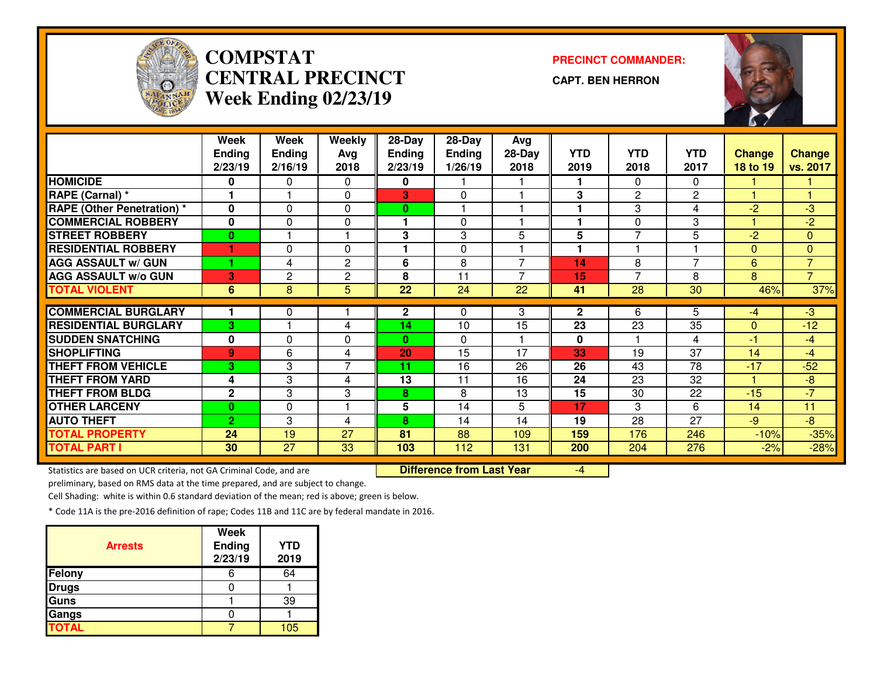

# **COMPSTAT PRECINCT COMMANDER: CENTRAL PRECINCTWeek Ending 02/23/19**

**CAPT. BEN HERRON**



|                                   | Week           | Week           | Weekly               | 28-Day          | 28-Day        | Avg             |                |                 |                 |              |                |
|-----------------------------------|----------------|----------------|----------------------|-----------------|---------------|-----------------|----------------|-----------------|-----------------|--------------|----------------|
|                                   | <b>Ending</b>  | <b>Ending</b>  | Avg                  | <b>Ending</b>   | <b>Ending</b> | $28-Day$        | <b>YTD</b>     | <b>YTD</b>      | <b>YTD</b>      | Change       | Change         |
|                                   | 2/23/19        | 2/16/19        | 2018                 | 2/23/19         | 1/26/19       | 2018            | 2019           | 2018            | 2017            | 18 to 19     | vs. 2017       |
| <b>HOMICIDE</b>                   | 0              | 0              | 0                    | 0               |               |                 |                | 0               | 0               |              |                |
| RAPE (Carnal) *                   |                |                | $\Omega$             | 3               | $\Omega$      |                 | 3              | $\overline{2}$  | $\mathbf{2}$    |              | 4              |
| <b>RAPE (Other Penetration)</b> * | $\bf{0}$       | $\Omega$       | $\Omega$             | 0               |               |                 |                | 3               | 4               | $-2$         | $-3$           |
| <b>COMMERCIAL ROBBERY</b>         | 0              | 0              | 0                    | 1               | $\Omega$      |                 | 1              | 0               | 3               |              | $-2$           |
| <b>STREET ROBBERY</b>             | $\bf{0}$       |                | $\blacktriangleleft$ | 3               | 3             | 5               | 5              | $\overline{7}$  | 5               | $-2$         | $\overline{0}$ |
| <b>RESIDENTIAL ROBBERY</b>        | 1              | $\Omega$       | $\Omega$             | 1               | $\Omega$      |                 | 1              |                 |                 | $\Omega$     | $\Omega$       |
| <b>AGG ASSAULT w/ GUN</b>         |                | 4              | $\overline{2}$       | 6               | 8             | $\overline{7}$  | 14             | 8               | $\overline{7}$  | 6            | $\overline{7}$ |
| <b>AGG ASSAULT w/o GUN</b>        | 3              | $\overline{c}$ | $\mathbf{2}$         | 8               | 11            | 7               | 15             | $\overline{7}$  | 8               | 8            | $\overline{7}$ |
| <b>TOTAL VIOLENT</b>              | 6              | 8              | 5                    | $\overline{22}$ | 24            | $\overline{22}$ | 41             | $\overline{28}$ | $\overline{30}$ | 46%          | 37%            |
|                                   |                |                |                      |                 |               |                 |                |                 |                 |              |                |
| <b>COMMERCIAL BURGLARY</b>        |                | $\Omega$       |                      | $\mathbf{2}$    | $\Omega$      | 3               | $\overline{2}$ | 6               | 5               | $-4$         | $-3$           |
| <b>RESIDENTIAL BURGLARY</b>       | 3              |                | 4                    | 14              | 10            | 15              | 23             | 23              | 35              | $\mathbf{0}$ | $-12$          |
| <b>SUDDEN SNATCHING</b>           | 0              | 0              | 0                    | 0               | $\Omega$      |                 | $\bf{0}$       |                 | 4               | -1           | $-4$           |
| <b>SHOPLIFTING</b>                | $\overline{9}$ | 6              | 4                    | 20              | 15            | 17              | 33             | 19              | 37              | 14           | $-4$           |
| <b>THEFT FROM VEHICLE</b>         | 3              | 3              | $\overline{7}$       | 11              | 16            | 26              | 26             | 43              | 78              | $-17$        | $-52$          |
| <b>THEFT FROM YARD</b>            | 4              | 3              | 4                    | 13              | 11            | 16              | 24             | 23              | 32              |              | $-8$           |
| <b>THEFT FROM BLDG</b>            | $\mathbf 2$    | 3              | 3                    | 8               | 8             | 13              | 15             | 30              | 22              | $-15$        | $-7$           |
| <b>OTHER LARCENY</b>              | $\bf{0}$       | 0              |                      | 5               | 14            | 5               | 17             | 3               | 6               | 14           | 11             |
| <b>AUTO THEFT</b>                 | $\overline{2}$ | 3              | 4                    | 8               | 14            | 14              | 19             | 28              | 27              | $-9$         | $-8$           |
| <b>TOTAL PROPERTY</b>             | 24             | 19             | 27                   | 81              | 88            | 109             | 159            | 176             | 246             | $-10%$       | $-35%$         |
| <b>TOTAL PART I</b>               | 30             | 27             | 33                   | 103             | 112           | 131             | <b>200</b>     | 204             | 276             | $-2%$        | $-28%$         |

Statistics are based on UCR criteria, not GA Criminal Code, and are **Difference from Last Year** 

-4

preliminary, based on RMS data at the time prepared, and are subject to change.

Cell Shading: white is within 0.6 standard deviation of the mean; red is above; green is below.

| <b>Arrests</b> | <b>Week</b><br>Ending<br>2/23/19 | <b>YTD</b><br>2019 |
|----------------|----------------------------------|--------------------|
| Felony         |                                  | 64                 |
| <b>Drugs</b>   |                                  |                    |
| <b>Guns</b>    |                                  | 39                 |
| Gangs          |                                  |                    |
| <b>TOTAL</b>   |                                  | 105                |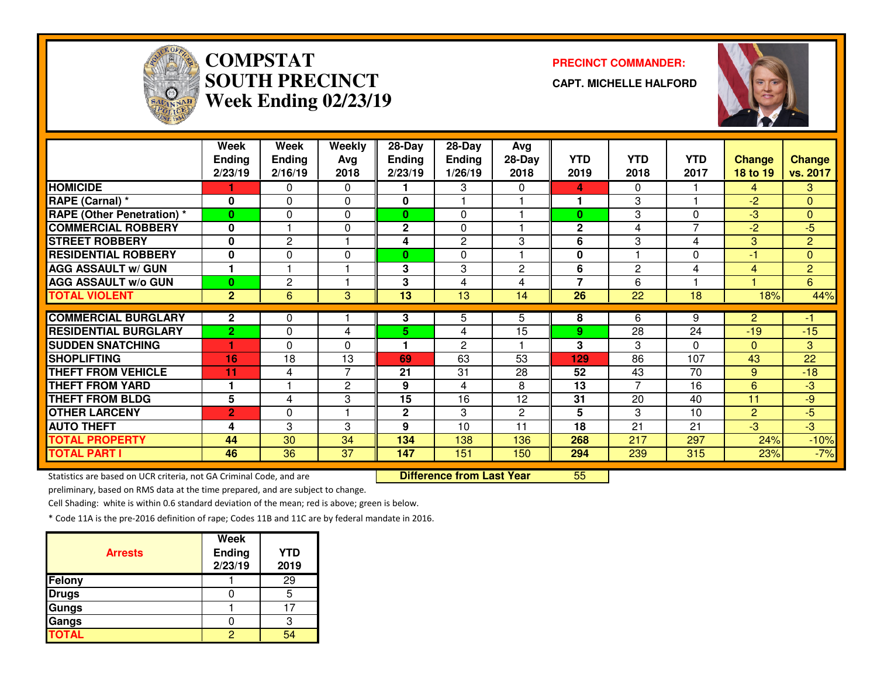

# **COMPSTATSOUTH PRECINCTWeek Ending 02/23/19**

**PRECINCT COMMANDER:**

**CAPT. MICHELLE HALFORD**



|                                   | Week<br><b>Ending</b><br>2/23/19 | Week<br><b>Ending</b><br>2/16/19 | Weekly<br>Avg<br>2018 | 28-Day<br><b>Ending</b><br>2/23/19 | 28-Day<br><b>Ending</b><br>1/26/19 | Avg<br>$28-Day$<br>2018 | <b>YTD</b><br>2019 | <b>YTD</b><br>2018 | <b>YTD</b><br>2017 | <b>Change</b><br><b>18 to 19</b> | <b>Change</b><br>vs. 2017 |
|-----------------------------------|----------------------------------|----------------------------------|-----------------------|------------------------------------|------------------------------------|-------------------------|--------------------|--------------------|--------------------|----------------------------------|---------------------------|
| <b>HOMICIDE</b>                   |                                  | 0                                | 0                     |                                    | 3                                  | 0                       | 4                  | $\Omega$           |                    | 4                                | 3.                        |
| RAPE (Carnal) *                   | 0                                | 0                                | $\Omega$              | 0                                  |                                    |                         |                    | 3                  |                    | $-2$                             | $\mathbf{0}$              |
| <b>RAPE (Other Penetration)</b> * | $\bf{0}$                         | 0                                | $\Omega$              | $\mathbf{0}$                       | 0                                  |                         | $\bf{0}$           | 3                  | 0                  | $-3$                             | $\overline{0}$            |
| <b>COMMERCIAL ROBBERY</b>         | $\bf{0}$                         |                                  | 0                     | $\mathbf{2}$                       | $\Omega$                           |                         | $\mathbf 2$        | 4                  | 7                  | $-2$                             | $-5$                      |
| <b>STREET ROBBERY</b>             | 0                                | 2                                |                       | 4                                  | $\mathbf{2}$                       | 3                       | 6                  | 3                  | 4                  | 3                                | $\overline{2}$            |
| <b>RESIDENTIAL ROBBERY</b>        | $\bf{0}$                         | 0                                | 0                     | $\mathbf{0}$                       | $\Omega$                           |                         | 0                  |                    | $\Omega$           | $-1$                             | $\overline{0}$            |
| <b>AGG ASSAULT w/ GUN</b>         | 1                                |                                  |                       | 3                                  | 3                                  | $\mathbf{2}$            | 6                  | $\mathbf{2}$       | 4                  | 4                                | $\overline{2}$            |
| <b>AGG ASSAULT w/o GUN</b>        | $\bf{0}$                         | 2                                |                       | 3                                  | 4                                  | 4                       | $\overline{7}$     | 6                  |                    |                                  | 6                         |
| <b>TOTAL VIOLENT</b>              | $\overline{2}$                   | 6                                | 3                     | $\overline{13}$                    | 13                                 | 14                      | $\overline{26}$    | $\overline{22}$    | 18                 | 18%                              | 44%                       |
|                                   |                                  |                                  |                       |                                    |                                    |                         |                    |                    |                    |                                  |                           |
| <b>COMMERCIAL BURGLARY</b>        | $\mathbf{2}$                     | 0                                |                       | 3                                  | 5                                  | 5                       | 8                  | 6                  | 9                  | $\overline{2}$                   | -1                        |
| <b>RESIDENTIAL BURGLARY</b>       | $\overline{2}$                   | 0                                | 4                     | 5.                                 | 4                                  | 15                      | 9                  | 28                 | 24                 | $-19$                            | $-15$                     |
| <b>SUDDEN SNATCHING</b>           |                                  | 0                                | $\Omega$              |                                    | $\overline{2}$                     |                         | 3                  | 3                  | $\Omega$           | $\Omega$                         | 3                         |
| <b>SHOPLIFTING</b>                | 16                               | 18                               | 13                    | 69                                 | 63                                 | 53                      | 129                | 86                 | 107                | 43                               | 22                        |
| <b>THEFT FROM VEHICLE</b>         | 11                               | 4                                | 7                     | 21                                 | 31                                 | 28                      | 52                 | 43                 | 70                 | 9                                | $-18$                     |
| <b>THEFT FROM YARD</b>            | 1                                |                                  | 2                     | 9                                  | 4                                  | 8                       | 13                 | 7                  | 16                 | 6                                | $-3$                      |
| <b>THEFT FROM BLDG</b>            | 5                                | 4                                | 3                     | 15                                 | 16                                 | 12                      | 31                 | 20                 | 40                 | 11                               | -9                        |
| <b>OTHER LARCENY</b>              | $\overline{2}$                   | 0                                |                       | $\mathbf{2}$                       | 3                                  | $\mathbf{2}$            | 5                  | 3                  | 10                 | $\overline{2}$                   | $-5$                      |
| <b>AUTO THEFT</b>                 | 4                                | 3                                | 3                     | 9                                  | 10                                 | 11                      | 18                 | 21                 | 21                 | $-3$                             | $\overline{3}$            |
| <b>TOTAL PROPERTY</b>             | 44                               | 30                               | 34                    | 134                                | 138                                | 136                     | 268                | 217                | 297                | 24%                              | $-10%$                    |
| <b>TOTAL PART I</b>               | 46                               | 36                               | 37                    | 147                                | 151                                | 150                     | 294                | 239                | 315                | 23%                              | $-7%$                     |

Statistics are based on UCR criteria, not GA Criminal Code, and are **Difference from Last Year** 

<sup>55</sup>

preliminary, based on RMS data at the time prepared, and are subject to change.

Cell Shading: white is within 0.6 standard deviation of the mean; red is above; green is below.

| <b>Arrests</b> | <b>Week</b><br>Ending<br>2/23/19 | <b>YTD</b><br>2019 |
|----------------|----------------------------------|--------------------|
| Felony         |                                  | 29                 |
| <b>Drugs</b>   |                                  |                    |
| Gungs          |                                  |                    |
| Gangs          |                                  |                    |
| <b>TOTAL</b>   |                                  |                    |